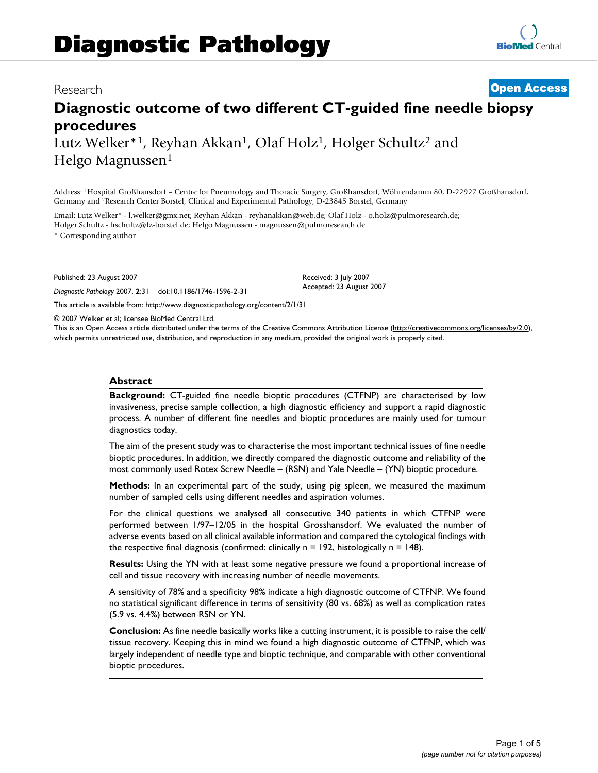# Research **[Open Access](http://www.biomedcentral.com/info/about/charter/)**

# **Diagnostic outcome of two different CT-guided fine needle biopsy procedures** Lutz Welker<sup>\*1</sup>, Reyhan Akkan<sup>1</sup>, Olaf Holz<sup>1</sup>, Holger Schultz<sup>2</sup> and

Helgo Magnussen<sup>1</sup>

Address: 1Hospital Großhansdorf – Centre for Pneumology and Thoracic Surgery, Großhansdorf, Wöhrendamm 80, D-22927 Großhansdorf, Germany and 2Research Center Borstel, Clinical and Experimental Pathology, D-23845 Borstel, Germany

Email: Lutz Welker\* - l.welker@gmx.net; Reyhan Akkan - reyhanakkan@web.de; Olaf Holz - o.holz@pulmoresearch.de; Holger Schultz - hschultz@fz-borstel.de; Helgo Magnussen - magnussen@pulmoresearch.de

\* Corresponding author

Published: 23 August 2007

*Diagnostic Pathology* 2007, **2**:31 doi:10.1186/1746-1596-2-31

[This article is available from: http://www.diagnosticpathology.org/content/2/1/31](http://www.diagnosticpathology.org/content/2/1/31)

© 2007 Welker et al; licensee BioMed Central Ltd.

This is an Open Access article distributed under the terms of the Creative Commons Attribution License [\(http://creativecommons.org/licenses/by/2.0\)](http://creativecommons.org/licenses/by/2.0), which permits unrestricted use, distribution, and reproduction in any medium, provided the original work is properly cited.

Received: 3 July 2007 Accepted: 23 August 2007

#### **Abstract**

**Background:** CT-guided fine needle bioptic procedures (CTFNP) are characterised by low invasiveness, precise sample collection, a high diagnostic efficiency and support a rapid diagnostic process. A number of different fine needles and bioptic procedures are mainly used for tumour diagnostics today.

The aim of the present study was to characterise the most important technical issues of fine needle bioptic procedures. In addition, we directly compared the diagnostic outcome and reliability of the most commonly used Rotex Screw Needle – (RSN) and Yale Needle – (YN) bioptic procedure.

**Methods:** In an experimental part of the study, using pig spleen, we measured the maximum number of sampled cells using different needles and aspiration volumes.

For the clinical questions we analysed all consecutive 340 patients in which CTFNP were performed between 1/97–12/05 in the hospital Grosshansdorf. We evaluated the number of adverse events based on all clinical available information and compared the cytological findings with the respective final diagnosis (confirmed: clinically  $n = 192$ , histologically  $n = 148$ ).

**Results:** Using the YN with at least some negative pressure we found a proportional increase of cell and tissue recovery with increasing number of needle movements.

A sensitivity of 78% and a specificity 98% indicate a high diagnostic outcome of CTFNP. We found no statistical significant difference in terms of sensitivity (80 vs. 68%) as well as complication rates (5.9 vs. 4.4%) between RSN or YN.

**Conclusion:** As fine needle basically works like a cutting instrument, it is possible to raise the cell/ tissue recovery. Keeping this in mind we found a high diagnostic outcome of CTFNP, which was largely independent of needle type and bioptic technique, and comparable with other conventional bioptic procedures.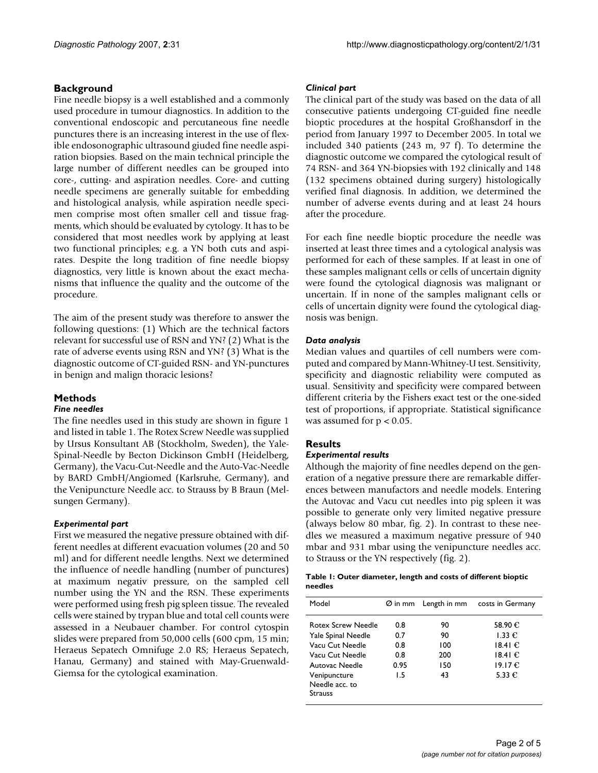# **Background**

Fine needle biopsy is a well established and a commonly used procedure in tumour diagnostics. In addition to the conventional endoscopic and percutaneous fine needle punctures there is an increasing interest in the use of flexible endosonographic ultrasound giuded fine needle aspiration biopsies. Based on the main technical principle the large number of different needles can be grouped into core-, cutting- and aspiration needles. Core- and cutting needle specimens are generally suitable for embedding and histological analysis, while aspiration needle specimen comprise most often smaller cell and tissue fragments, which should be evaluated by cytology. It has to be considered that most needles work by applying at least two functional principles; e.g. a YN both cuts and aspirates. Despite the long tradition of fine needle biopsy diagnostics, very little is known about the exact mechanisms that influence the quality and the outcome of the procedure.

The aim of the present study was therefore to answer the following questions: (1) Which are the technical factors relevant for successful use of RSN and YN? (2) What is the rate of adverse events using RSN and YN? (3) What is the diagnostic outcome of CT-guided RSN- and YN-punctures in benign and malign thoracic lesions?

# **Methods**

#### *Fine needles*

The fine needles used in this study are shown in figure 1 and listed in table 1. The Rotex Screw Needle was supplied by Ursus Konsultant AB (Stockholm, Sweden), the Yale-Spinal-Needle by Becton Dickinson GmbH (Heidelberg, Germany), the Vacu-Cut-Needle and the Auto-Vac-Needle by BARD GmbH/Angiomed (Karlsruhe, Germany), and the Venipuncture Needle acc. to Strauss by B Braun (Melsungen Germany).

# *Experimental part*

First we measured the negative pressure obtained with different needles at different evacuation volumes (20 and 50 ml) and for different needle lengths. Next we determined the influence of needle handling (number of punctures) at maximum negativ pressure, on the sampled cell number using the YN and the RSN. These experiments were performed using fresh pig spleen tissue. The revealed cells were stained by trypan blue and total cell counts were assessed in a Neubauer chamber. For control cytospin slides were prepared from 50,000 cells (600 cpm, 15 min; Heraeus Sepatech Omnifuge 2.0 RS; Heraeus Sepatech, Hanau, Germany) and stained with May-Gruenwald-Giemsa for the cytological examination.

#### *Clinical part*

The clinical part of the study was based on the data of all consecutive patients undergoing CT-guided fine needle bioptic procedures at the hospital Großhansdorf in the period from January 1997 to December 2005. In total we included 340 patients (243 m, 97 f). To determine the diagnostic outcome we compared the cytological result of 74 RSN- and 364 YN-biopsies with 192 clinically and 148 (132 specimens obtained during surgery) histologically verified final diagnosis. In addition, we determined the number of adverse events during and at least 24 hours after the procedure.

For each fine needle bioptic procedure the needle was inserted at least three times and a cytological analysis was performed for each of these samples. If at least in one of these samples malignant cells or cells of uncertain dignity were found the cytological diagnosis was malignant or uncertain. If in none of the samples malignant cells or cells of uncertain dignity were found the cytological diagnosis was benign.

# *Data analysis*

Median values and quartiles of cell numbers were computed and compared by Mann-Whitney-U test. Sensitivity, specificity and diagnostic reliability were computed as usual. Sensitivity and specificity were compared between different criteria by the Fishers exact test or the one-sided test of proportions, if appropriate. Statistical significance was assumed for  $p < 0.05$ .

# **Results**

# *Experimental results*

Although the majority of fine needles depend on the generation of a negative pressure there are remarkable differences between manufactors and needle models. Entering the Autovac and Vacu cut needles into pig spleen it was possible to generate only very limited negative pressure (always below 80 mbar, fig. 2). In contrast to these needles we measured a maximum negative pressure of 940 mbar and 931 mbar using the venipuncture needles acc. to Strauss or the YN respectively (fig. 2).

#### **Table 1: Outer diameter, length and costs of different bioptic needles**

| Model                                            |             |            | Ø in mm Length in mm costs in Germany |
|--------------------------------------------------|-------------|------------|---------------------------------------|
| <b>Rotex Screw Needle</b><br>Yale Spinal Needle  | 0.8<br>0.7  | 90<br>90   | 58.90 €<br>1.33 $\epsilon$            |
| Vacu Cut Needle                                  | 0.8         | 100        | 18.41€                                |
| Vacu Cut Needle<br>Autovac Needle                | 0.8<br>0.95 | 200<br>150 | 18.41€<br>19.17€                      |
| Venipuncture<br>Needle acc. to<br><b>Strauss</b> | 1.5         | 43         | 5.33 $\epsilon$                       |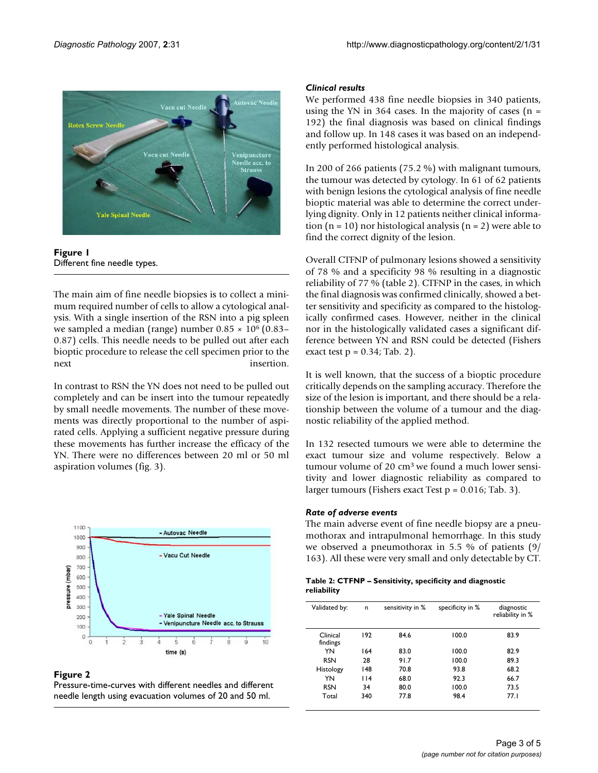



The main aim of fine needle biopsies is to collect a minimum required number of cells to allow a cytological analysis. With a single insertion of the RSN into a pig spleen we sampled a median (range) number  $0.85 \times 10^6$  (0.83– 0.87) cells. This needle needs to be pulled out after each bioptic procedure to release the cell specimen prior to the next insertion.

In contrast to RSN the YN does not need to be pulled out completely and can be insert into the tumour repeatedly by small needle movements. The number of these movements was directly proportional to the number of aspirated cells. Applying a sufficient negative pressure during these movements has further increase the efficacy of the YN. There were no differences between 20 ml or 50 ml aspiration volumes (fig. 3).



#### Figure 2

Pressure-time-curves with different needles and different needle length using evacuation volumes of 20 and 50 ml.

#### *Clinical results*

We performed 438 fine needle biopsies in 340 patients, using the YN in 364 cases. In the majority of cases  $(n =$ 192) the final diagnosis was based on clinical findings and follow up. In 148 cases it was based on an independently performed histological analysis.

In 200 of 266 patients (75.2 %) with malignant tumours, the tumour was detected by cytology. In 61 of 62 patients with benign lesions the cytological analysis of fine needle bioptic material was able to determine the correct underlying dignity. Only in 12 patients neither clinical information ( $n = 10$ ) nor histological analysis ( $n = 2$ ) were able to find the correct dignity of the lesion.

Overall CTFNP of pulmonary lesions showed a sensitivity of 78 % and a specificity 98 % resulting in a diagnostic reliability of 77 % (table 2). CTFNP in the cases, in which the final diagnosis was confirmed clinically, showed a better sensitivity and specificity as compared to the histologically confirmed cases. However, neither in the clinical nor in the histologically validated cases a significant difference between YN and RSN could be detected (Fishers exact test  $p = 0.34$ ; Tab. 2).

It is well known, that the success of a bioptic procedure critically depends on the sampling accuracy. Therefore the size of the lesion is important, and there should be a relationship between the volume of a tumour and the diagnostic reliability of the applied method.

In 132 resected tumours we were able to determine the exact tumour size and volume respectively. Below a tumour volume of 20 cm3 we found a much lower sensitivity and lower diagnostic reliability as compared to larger tumours (Fishers exact Test  $p = 0.016$ ; Tab. 3).

#### *Rate of adverse events*

The main adverse event of fine needle biopsy are a pneumothorax and intrapulmonal hemorrhage. In this study we observed a pneumothorax in 5.5 % of patients (9/ 163). All these were very small and only detectable by CT.

| Table 2: CTFNP – Sensitivity, specificity and diagnostic |  |
|----------------------------------------------------------|--|
| reliability                                              |  |

| Validated by:        | n   | sensitivity in % | specificity in % | diagnostic<br>reliability in % |
|----------------------|-----|------------------|------------------|--------------------------------|
| Clinical<br>findings | 192 | 84.6             | 100.0            | 83.9                           |
| YN                   | 164 | 83.0             | 100.0            | 82.9                           |
| <b>RSN</b>           | 28  | 91.7             | 100.0            | 89.3                           |
| Histology            | 148 | 70.8             | 93.8             | 68.2                           |
| YN                   | 114 | 68.0             | 92.3             | 66.7                           |
| <b>RSN</b>           | 34  | 80.0             | 100.0            | 73.5                           |
| Total                | 340 | 77.8             | 98.4             | 77.1                           |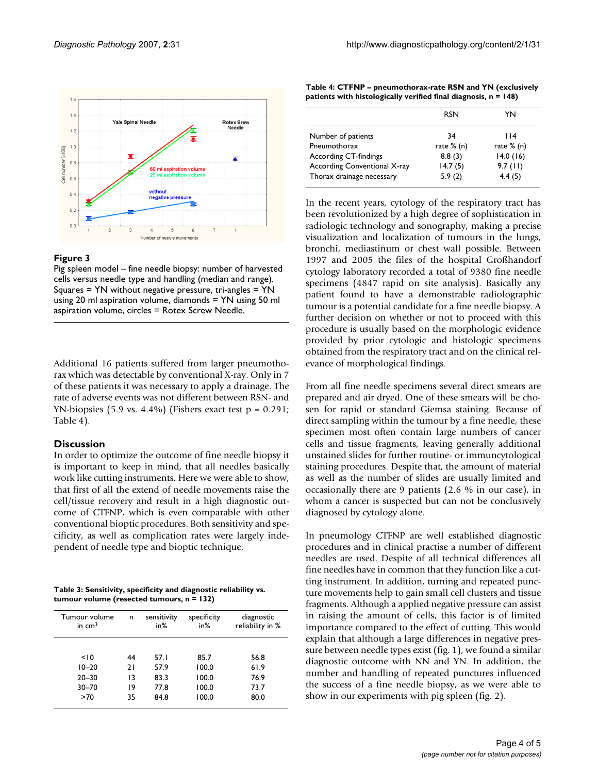

#### **Figure 3**

Pig spleen model – fine needle biopsy: number of harvested cells versus needle type and handling (median and range). Squares = YN without negative pressure, tri-angles = YN using 20 ml aspiration volume, diamonds = YN using 50 ml aspiration volume, circles = Rotex Screw Needle.

Additional 16 patients suffered from larger pneumothorax which was detectable by conventional X-ray. Only in 7 of these patients it was necessary to apply a drainage. The rate of adverse events was not different between RSN- and YN-biopsies (5.9 vs. 4.4%) (Fishers exact test  $p = 0.291$ ; Table 4).

# **Discussion**

In order to optimize the outcome of fine needle biopsy it is important to keep in mind, that all needles basically work like cutting instruments. Here we were able to show, that first of all the extend of needle movements raise the cell/tissue recovery and result in a high diagnostic outcome of CTFNP, which is even comparable with other conventional bioptic procedures. Both sensitivity and specificity, as well as complication rates were largely independent of needle type and bioptic technique.

**Table 3: Sensitivity, specificity and diagnostic reliability vs. tumour volume (resected tumours, n = 132)**

| Tumour volume<br>in $cm3$ | n  | sensitivity<br>in% | specificity<br>in% | diagnostic<br>reliability in % |
|---------------------------|----|--------------------|--------------------|--------------------------------|
| < 10                      | 44 | 57.I               | 85.7               | 56.8                           |
| $10 - 20$                 | 21 | 57.9               | 100.0              | 61.9                           |
| $20 - 30$                 | 13 | 83.3               | 100.0              | 76.9                           |
| $30 - 70$                 | 19 | 77.8               | 100.0              | 73.7                           |
| >70                       | 35 | 84.8               | 100.0              | 80.0                           |

**Table 4: CTFNP – pneumothorax-rate RSN and YN (exclusively patients with histologically verified final diagnosis, n = 148)**

|                              | <b>RSN</b>   | YN           |
|------------------------------|--------------|--------------|
|                              |              |              |
| Number of patients           | 34           | l 14         |
| Pneumothorax                 | rate $% (n)$ | rate $% (n)$ |
| According CT-findings        | 8.8(3)       | 14.0(16)     |
| According Conventional X-ray | 14.7(5)      | $9.7$ (11)   |
| Thorax drainage necessary    | 5.9(2)       | 4.4(5)       |

In the recent years, cytology of the respiratory tract has been revolutionized by a high degree of sophistication in radiologic technology and sonography, making a precise visualization and localization of tumours in the lungs, bronchi, mediastinum or chest wall possible. Between 1997 and 2005 the files of the hospital Großhandorf cytology laboratory recorded a total of 9380 fine needle specimens (4847 rapid on site analysis). Basically any patient found to have a demonstrable radiolographic tumour is a potential candidate for a fine needle biopsy. A further decision on whether or not to proceed with this procedure is usually based on the morphologic evidence provided by prior cytologic and histologic specimens obtained from the respiratory tract and on the clinical relevance of morphological findings.

From all fine needle specimens several direct smears are prepared and air dryed. One of these smears will be chosen for rapid or standard Giemsa staining. Because of direct sampling within the tumour by a fine needle, these specimen most often contain large numbers of cancer cells and tissue fragments, leaving generally additional unstained slides for further routine- or immuncytological staining procedures. Despite that, the amount of material as well as the number of slides are usually limited and occasionally there are 9 patients (2.6 % in our case), in whom a cancer is suspected but can not be conclusively diagnosed by cytology alone.

In pneumology CTFNP are well established diagnostic procedures and in clinical practise a number of different needles are used. Despite of all technical differences all fine needles have in common that they function like a cutting instrument. In addition, turning and repeated puncture movements help to gain small cell clusters and tissue fragments. Although a applied negative pressure can assist in raising the amount of cells, this factor is of limited importance compared to the effect of cutting. This would explain that although a large differences in negative pressure between needle types exist (fig. 1), we found a similar diagnostic outcome with NN and YN. In addition, the number and handling of repeated punctures influenced the success of a fine needle biopsy, as we were able to show in our experiments with pig spleen (fig. 2).